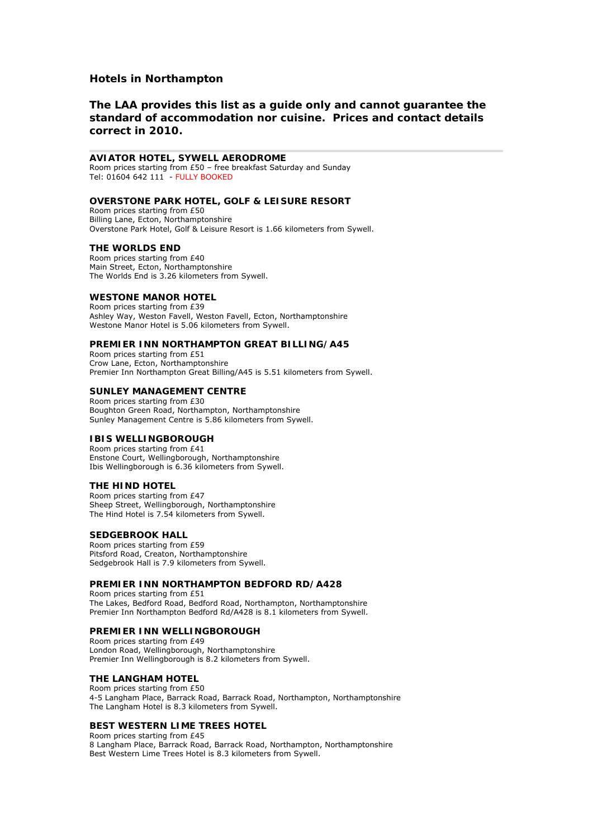# **Hotels in Northampton**

# **The LAA provides this list as a guide only and cannot guarantee the standard of accommodation nor cuisine. Prices and contact details correct in 2010.**

# **AVIATOR HOTEL, SYWELL AERODROME**

Room prices starting from £50 – free breakfast Saturday and Sunday Tel: 01604 642 111 - FULLY BOOKED

## **[OVERSTONE PARK HOTEL, GOLF & LEISURE RESORT](http://www.starstay.com/ahotels/showhotel.asp?hotel_id=35899)**

Room prices starting from £50 Billing Lane, Ecton, Northamptonshire Overstone Park Hotel, Golf & Leisure Resort is 1.66 kilometers from Sywell.

#### **[THE WORLDS END](http://www.starstay.com/ahotels/showhotel.asp?hotel_id=231558)**

Room prices starting from £40 Main Street, Ecton, Northamptonshire The Worlds End is 3.26 kilometers from Sywell.

## **[WESTONE MANOR HOTEL](http://www.starstay.com/ahotels/showhotel.asp?hotel_id=114305)**

Room prices starting from £39 Ashley Way, Weston Favell, Weston Favell, Ecton, Northamptonshire Westone Manor Hotel is 5.06 kilometers from Sywell.

#### **[PREMIER INN NORTHAMPTON GREAT BILLING/A45](http://www.starstay.com/ahotels/showhotel.asp?hotel_id=178329)**

Room prices starting from £51 Crow Lane, Ecton, Northamptonshire Premier Inn Northampton Great Billing/A45 is 5.51 kilometers from Sywell.

## **[SUNLEY MANAGEMENT CENTRE](http://www.starstay.com/ahotels/showhotel.asp?hotel_id=44594)**

Room prices starting from £30 Boughton Green Road, Northampton, Northamptonshire Sunley Management Centre is 5.86 kilometers from Sywell.

#### **[IBIS WELLINGBOROUGH](http://www.starstay.com/ahotels/showhotel.asp?hotel_id=46353)**

Room prices starting from £41 Enstone Court, Wellingborough, Northamptonshire Ibis Wellingborough is 6.36 kilometers from Sywell.

# **[THE HIND HOTEL](http://www.starstay.com/ahotels/showhotel.asp?hotel_id=106173)**

Room prices starting from £47 Sheep Street, Wellingborough, Northamptonshire The Hind Hotel is 7.54 kilometers from Sywell.

## **[SEDGEBROOK HALL](http://www.starstay.com/ahotels/showhotel.asp?hotel_id=34235)**

Room prices starting from £59 Pitsford Road, Creaton, Northamptonshire Sedgebrook Hall is 7.9 kilometers from Sywell.

## **[PREMIER INN NORTHAMPTON BEDFORD RD/A428](http://www.starstay.com/ahotels/showhotel.asp?hotel_id=178332)**

Room prices starting from £51 The Lakes, Bedford Road, Bedford Road, Northampton, Northamptonshire Premier Inn Northampton Bedford Rd/A428 is 8.1 kilometers from Sywell.

#### **[PREMIER INN WELLINGBOROUGH](http://www.starstay.com/ahotels/showhotel.asp?hotel_id=178334)**

Room prices starting from £49 London Road, Wellingborough, Northamptonshire Premier Inn Wellingborough is 8.2 kilometers from Sywell.

#### **[THE LANGHAM HOTEL](http://www.starstay.com/ahotels/showhotel.asp?hotel_id=35650)**

Room prices starting from £50 4-5 Langham Place, Barrack Road, Barrack Road, Northampton, Northamptonshire The Langham Hotel is 8.3 kilometers from Sywell.

## **[BEST WESTERN LIME TREES HOTEL](http://www.starstay.com/ahotels/showhotel.asp?hotel_id=113834)**

Room prices starting from £45 8 Langham Place, Barrack Road, Barrack Road, Northampton, Northamptonshire Best Western Lime Trees Hotel is 8.3 kilometers from Sywell.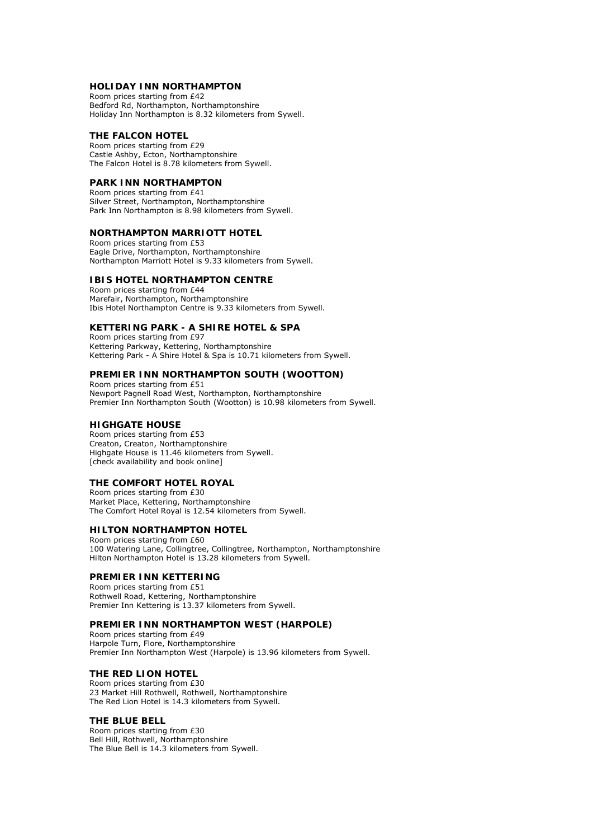## **[HOLIDAY INN NORTHAMPTON](http://www.starstay.com/ahotels/showhotel.asp?hotel_id=113692)**

Room prices starting from £42 Bedford Rd, Northampton, Northamptonshire Holiday Inn Northampton is 8.32 kilometers from Sywell.

## **[THE FALCON HOTEL](http://www.starstay.com/ahotels/showhotel.asp?hotel_id=114152)**

Room prices starting from £29 Castle Ashby, Ecton, Northamptonshire The Falcon Hotel is 8.78 kilometers from Sywell.

# **[PARK INN NORTHAMPTON](http://www.starstay.com/ahotels/showhotel.asp?hotel_id=114306)**

Room prices starting from £41 Silver Street, Northampton, Northamptonshire Park Inn Northampton is 8.98 kilometers from Sywell.

## **[NORTHAMPTON MARRIOTT HOTEL](http://www.starstay.com/ahotels/showhotel.asp?hotel_id=36879)**

Room prices starting from £53 Eagle Drive, Northampton, Northamptonshire Northampton Marriott Hotel is 9.33 kilometers from Sywell.

#### **[IBIS HOTEL NORTHAMPTON CENTRE](http://www.starstay.com/ahotels/showhotel.asp?hotel_id=44215)**

Room prices starting from £44 Marefair, Northampton, Northamptonshire Ibis Hotel Northampton Centre is 9.33 kilometers from Sywell.

## **[KETTERING PARK - A SHIRE HOTEL & SPA](http://www.starstay.com/ahotels/showhotel.asp?hotel_id=36469)**

Room prices starting from £97 Kettering Parkway, Kettering, Northamptonshire Kettering Park - A Shire Hotel & Spa is 10.71 kilometers from Sywell.

## **[PREMIER INN NORTHAMPTON SOUTH \(WOOTTON\)](http://www.starstay.com/ahotels/showhotel.asp?hotel_id=178326)**

Room prices starting from £51 Newport Pagnell Road West, Northampton, Northamptonshire Premier Inn Northampton South (Wootton) is 10.98 kilometers from Sywell.

#### **[HIGHGATE HOUSE](http://www.starstay.com/ahotels/showhotel.asp?hotel_id=228111)**

Room prices starting from £53 Creaton, Creaton, Northamptonshire Highgate House is 11.46 kilometers from Sywell. [\[check availability and book online\]](http://www.starstay.com/ahotels/showhotel.asp?hotel_id=228111)

#### **[THE COMFORT HOTEL ROYAL](http://www.starstay.com/ahotels/showhotel.asp?hotel_id=218698)**

Room prices starting from £30 Market Place, Kettering, Northamptonshire The Comfort Hotel Royal is 12.54 kilometers from Sywell.

### **[HILTON NORTHAMPTON HOTEL](http://www.starstay.com/ahotels/showhotel.asp?hotel_id=45733)**

Room prices starting from £60 100 Watering Lane, Collingtree, Collingtree, Northampton, Northamptonshire Hilton Northampton Hotel is 13.28 kilometers from Sywell.

#### **[PREMIER INN KETTERING](http://www.starstay.com/ahotels/showhotel.asp?hotel_id=178276)**

Room prices starting from £51 Rothwell Road, Kettering, Northamptonshire Premier Inn Kettering is 13.37 kilometers from Sywell.

#### **[PREMIER INN NORTHAMPTON WEST \(HARPOLE\)](http://www.starstay.com/ahotels/showhotel.asp?hotel_id=178313)**

Room prices starting from £49 Harpole Turn, Flore, Northamptonshire Premier Inn Northampton West (Harpole) is 13.96 kilometers from Sywell.

## **[THE RED LION HOTEL](http://www.starstay.com/ahotels/showhotel.asp?hotel_id=37461)**

Room prices starting from £30 23 Market Hill Rothwell, Rothwell, Northamptonshire The Red Lion Hotel is 14.3 kilometers from Sywell.

#### **[THE BLUE BELL](http://www.starstay.com/ahotels/showhotel.asp?hotel_id=37850)**

Room prices starting from £30 Bell Hill, Rothwell, Northamptonshire The Blue Bell is 14.3 kilometers from Sywell.